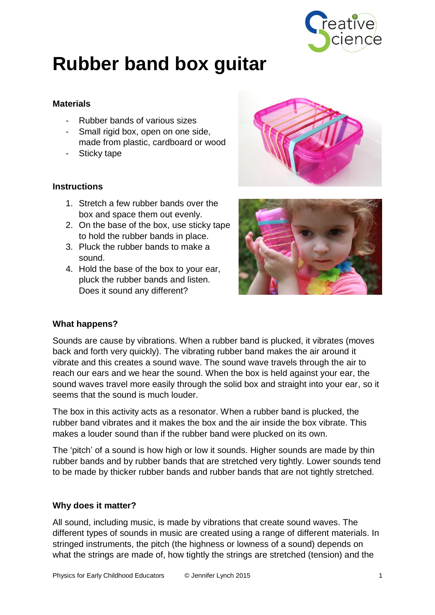

# **Rubber band box guitar**

## **Materials**

- Rubber bands of various sizes
- Small rigid box, open on one side, made from plastic, cardboard or wood
- Sticky tape

## **Instructions**

- 1. Stretch a few rubber bands over the box and space them out evenly.
- 2. On the base of the box, use sticky tape to hold the rubber bands in place.
- 3. Pluck the rubber bands to make a sound.
- 4. Hold the base of the box to your ear, pluck the rubber bands and listen. Does it sound any different?



# **What happens?**

Sounds are cause by vibrations. When a rubber band is plucked, it vibrates (moves back and forth very quickly). The vibrating rubber band makes the air around it vibrate and this creates a sound wave. The sound wave travels through the air to reach our ears and we hear the sound. When the box is held against your ear, the sound waves travel more easily through the solid box and straight into your ear, so it seems that the sound is much louder.

The box in this activity acts as a resonator. When a rubber band is plucked, the rubber band vibrates and it makes the box and the air inside the box vibrate. This makes a louder sound than if the rubber band were plucked on its own.

The 'pitch' of a sound is how high or low it sounds. Higher sounds are made by thin rubber bands and by rubber bands that are stretched very tightly. Lower sounds tend to be made by thicker rubber bands and rubber bands that are not tightly stretched.

### **Why does it matter?**

All sound, including music, is made by vibrations that create sound waves. The different types of sounds in music are created using a range of different materials. In stringed instruments, the pitch (the highness or lowness of a sound) depends on what the strings are made of, how tightly the strings are stretched (tension) and the